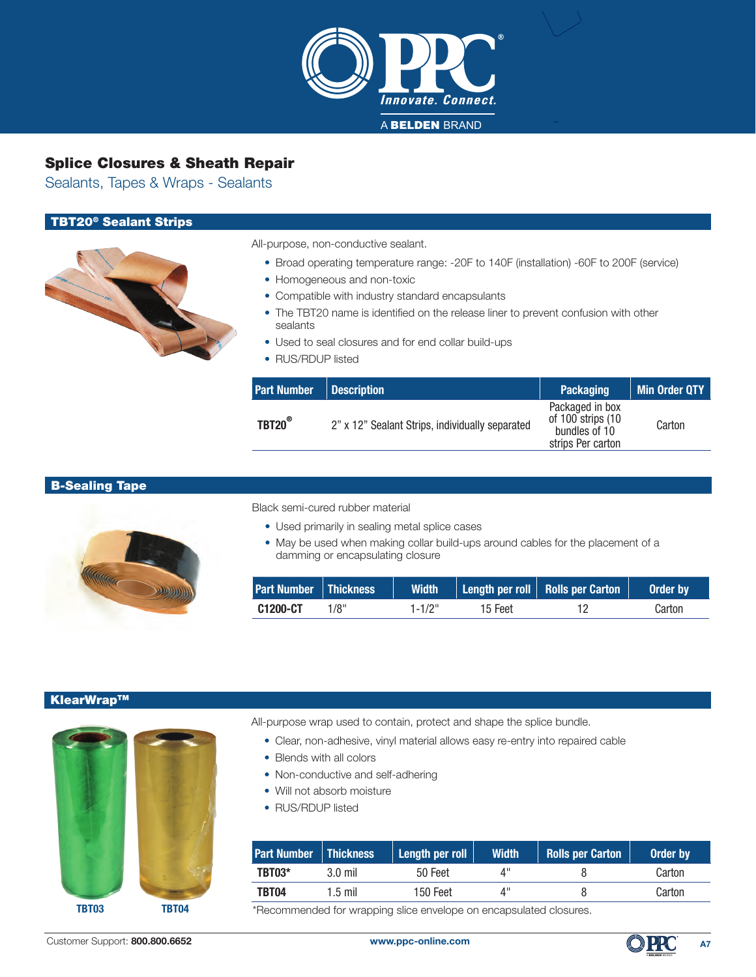

Sealants, Tapes & Wraps - Sealants

### TBT20® Sealant Strips

| All-purpose, non-conductive sealant. |  |
|--------------------------------------|--|
|                                      |  |

- Broad operating temperature range: -20F to 140F (installation) -60F to 200F (service)
- Homogeneous and non-toxic
- Compatible with industry standard encapsulants
- The TBT20 name is identified on the release liner to prevent confusion with other sealants
- Used to seal closures and for end collar build-ups
- RUS/RDUP listed

| <b>Part Number</b> | Description                                     | <b>Packaging</b>                                                                | Min Order QTY |
|--------------------|-------------------------------------------------|---------------------------------------------------------------------------------|---------------|
| TBT20 <sup>®</sup> | 2" x 12" Sealant Strips, individually separated | Packaged in box<br>of $100$ strips $(10)$<br>bundles of 10<br>strips Per carton | Carton        |

#### B-Sealing Tape



Black semi-cured rubber material

- Used primarily in sealing metal splice cases
- May be used when making collar build-ups around cables for the placement of a damming or encapsulating closure

| <b>Part Number   Thickness</b> |      |        |         | Width   Length per roll   Rolls per Carton | Order by |
|--------------------------------|------|--------|---------|--------------------------------------------|----------|
| C1200-CT                       | 1/8" | 1-1/2" | 15 Feet |                                            | Carton   |

#### KlearWrapTM



All-purpose wrap used to contain, protect and shape the splice bundle.

- Clear, non-adhesive, vinyl material allows easy re-entry into repaired cable
- Blends with all colors
- Non-conductive and self-adhering
- Will not absorb moisture
- RUS/RDUP listed

| <b>Part Number   Thickness</b> |         | Length per roll | <b>Width</b> | <b>Rolls per Carton</b> | Order by |
|--------------------------------|---------|-----------------|--------------|-------------------------|----------|
| TBT03*                         | 3.0 mil | 50 Feet         |              |                         | Carton   |
| <b>TBT04</b>                   | 1.5 mil | 150 Feet        | 4"           |                         | Carton   |

**TBT03** TBT04 \*Recommended for wrapping slice envelope on encapsulated closures.

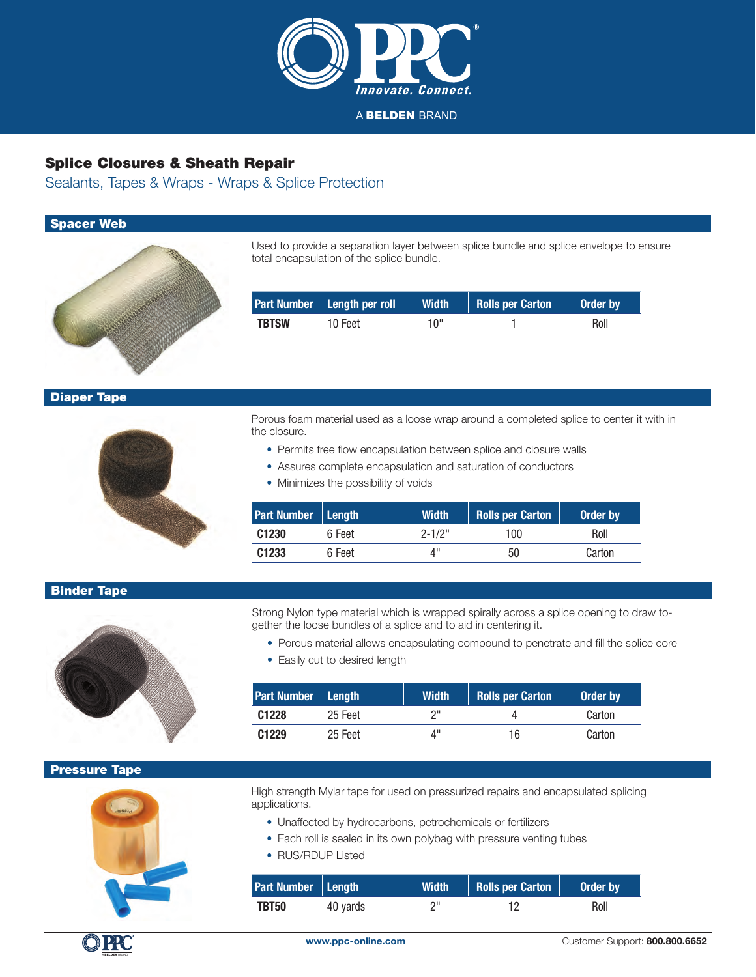

Sealants, Tapes & Wraps - Wraps & Splice Protection

### Spacer Web



Used to provide a separation layer between splice bundle and splice envelope to ensure total encapsulation of the splice bundle.

|              | Part Number   Length per roll | <b>Width</b> | <b>Rolls per Carton</b> | Order by |
|--------------|-------------------------------|--------------|-------------------------|----------|
| <b>TBTSW</b> | 10 Feet                       | 10"          |                         | Roll     |

### Diaper Tape



Porous foam material used as a loose wrap around a completed splice to center it with in the closure.

- Permits free flow encapsulation between splice and closure walls
- Assures complete encapsulation and saturation of conductors
- Minimizes the possibility of voids

| Part Number <b>Length</b> |        | <b>Width</b> | <b>Rolls per Carton</b> | Order by |
|---------------------------|--------|--------------|-------------------------|----------|
| C <sub>1230</sub>         | 6 Feet | $2 - 1/2$ "  | 100                     | Roll     |
| C <sub>1233</sub>         | 6 Feet | 4"           | 50                      | Carton   |

### Binder Tape

Strong Nylon type material which is wrapped spirally across a splice opening to draw together the loose bundles of a splice and to aid in centering it.

- Porous material allows encapsulating compound to penetrate and fill the splice core
- Easily cut to desired length

| <b>Part Number   Length</b> |         | <b>Width</b> | <b>Rolls per Carton</b> | Order by |
|-----------------------------|---------|--------------|-------------------------|----------|
| C <sub>1228</sub>           | 25 Feet | ייר          |                         | Carton   |
| C <sub>1229</sub>           | 25 Feet | 4"           | 16                      | Carton   |

#### Pressure Tape



High strength Mylar tape for used on pressurized repairs and encapsulated splicing applications.

- Unaffected by hydrocarbons, petrochemicals or fertilizers
- Each roll is sealed in its own polybag with pressure venting tubes
- RUS/RDUP Listed

| Part Number Length |          | <b>Width</b> | Rolls per Carton | Order by |
|--------------------|----------|--------------|------------------|----------|
| TBT50              | 40 yards |              |                  | Roll     |

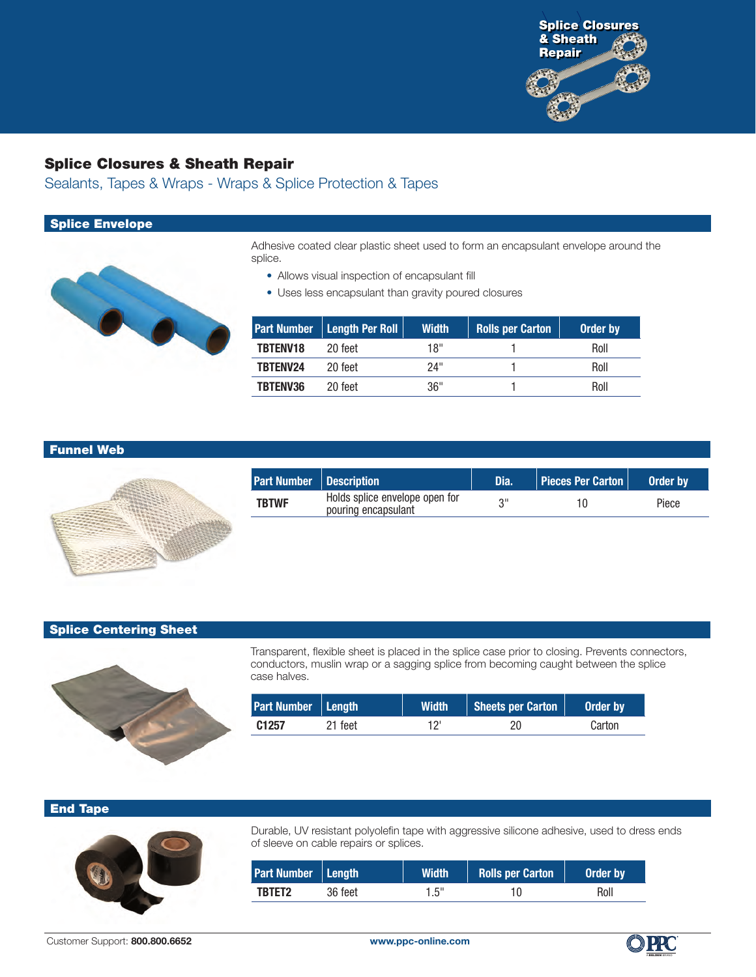

Sealants, Tapes & Wraps - Wraps & Splice Protection & Tapes

### Splice Envelope



Adhesive coated clear plastic sheet used to form an encapsulant envelope around the splice.

- Allows visual inspection of encapsulant fill
- Uses less encapsulant than gravity poured closures

|                 | <b>Part Number   Length Per Roll  </b> | <b>Width</b> | <b>Rolls per Carton</b> | Order by |
|-----------------|----------------------------------------|--------------|-------------------------|----------|
| <b>TBTENV18</b> | 20 feet                                | יו 18        |                         | Roll     |
| TBTENV24        | 20 feet                                | 24"          |                         | Roll     |
| <b>TBTENV36</b> | 20 feet                                | 36"          |                         | Roll     |

### Funnel Web



| <b>Part Number   Description</b> |                                                       | Dia. | <b>Pieces Per Carton   Order by</b> |       |
|----------------------------------|-------------------------------------------------------|------|-------------------------------------|-------|
| <b>TBTWF</b>                     | Holds splice envelope open for<br>pouring encapsulant |      | 10                                  | Piece |

#### Splice Centering Sheet



Transparent, flexible sheet is placed in the splice case prior to closing. Prevents connectors, conductors, muslin wrap or a sagging splice from becoming caught between the splice case halves.

| Part Number   Length |         | <b>Width</b> | Sheets per Carton | Order by |
|----------------------|---------|--------------|-------------------|----------|
| C <sub>1257</sub>    | 21 feet |              |                   | Carton   |

#### End Tape



Durable, UV resistant polyolefin tape with aggressive silicone adhesive, used to dress ends of sleeve on cable repairs or splices.

| Part Number   Length |         | <b>Width</b> | Rolls per Carton | Order by |
|----------------------|---------|--------------|------------------|----------|
| TBTET2               | 36 feet | 1.5"         |                  | Roll     |